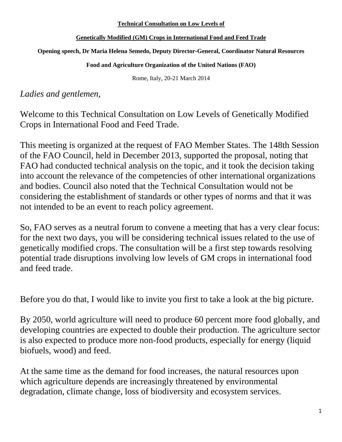## **Technical Consultation on Low Levels of**

## **Genetically Modified (GM) Crops in International Food and Feed Trade**

## **Opening speech, Dr Maria Helena Semedo, Deputy Director-General, Coordinator Natural Resources**

**Food and Agriculture Organization of the United Nations (FAO)**

Rome, Italy, 20-21 March 2014

*Ladies and gentlemen,* 

Welcome to this Technical Consultation on Low Levels of Genetically Modified Crops in International Food and Feed Trade.

This meeting is organized at the request of FAO Member States. The 148th Session of the FAO Council, held in December 2013, supported the proposal, noting that FAO had conducted technical analysis on the topic, and it took the decision taking into account the relevance of the competencies of other international organizations and bodies. Council also noted that the Technical Consultation would not be considering the establishment of standards or other types of norms and that it was not intended to be an event to reach policy agreement.

So, FAO serves as a neutral forum to convene a meeting that has a very clear focus: for the next two days, you will be considering technical issues related to the use of genetically modified crops. The consultation will be a first step towards resolving potential trade disruptions involving low levels of GM crops in international food and feed trade.

Before you do that, I would like to invite you first to take a look at the big picture.

By 2050, world agriculture will need to produce 60 percent more food globally, and developing countries are expected to double their production. The agriculture sector is also expected to produce more non-food products, especially for energy (liquid biofuels, wood) and feed.

At the same time as the demand for food increases, the natural resources upon which agriculture depends are increasingly threatened by environmental degradation, climate change, loss of biodiversity and ecosystem services.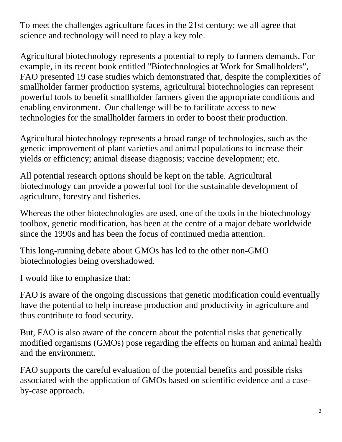To meet the challenges agriculture faces in the 21st century; we all agree that science and technology will need to play a key role.

Agricultural biotechnology represents a potential to reply to farmers demands. For example, in its recent book entitled "Biotechnologies at Work for Smallholders", FAO presented 19 case studies which demonstrated that, despite the complexities of smallholder farmer production systems, agricultural biotechnologies can represent powerful tools to benefit smallholder farmers given the appropriate conditions and enabling environment. Our challenge will be to facilitate access to new technologies for the smallholder farmers in order to boost their production.

Agricultural biotechnology represents a broad range of technologies, such as the genetic improvement of plant varieties and animal populations to increase their yields or efficiency; animal disease diagnosis; vaccine development; etc.

All potential research options should be kept on the table. Agricultural biotechnology can provide a powerful tool for the sustainable development of agriculture, forestry and fisheries.

Whereas the other biotechnologies are used, one of the tools in the biotechnology toolbox, genetic modification, has been at the centre of a major debate worldwide since the 1990s and has been the focus of continued media attention.

This long-running debate about GMOs has led to the other non-GMO biotechnologies being overshadowed.

I would like to emphasize that:

FAO is aware of the ongoing discussions that genetic modification could eventually have the potential to help increase production and productivity in agriculture and thus contribute to food security.

But, FAO is also aware of the concern about the potential risks that genetically modified organisms (GMOs) pose regarding the effects on human and animal health and the environment.

FAO supports the careful evaluation of the potential benefits and possible risks associated with the application of GMOs based on scientific evidence and a caseby-case approach.